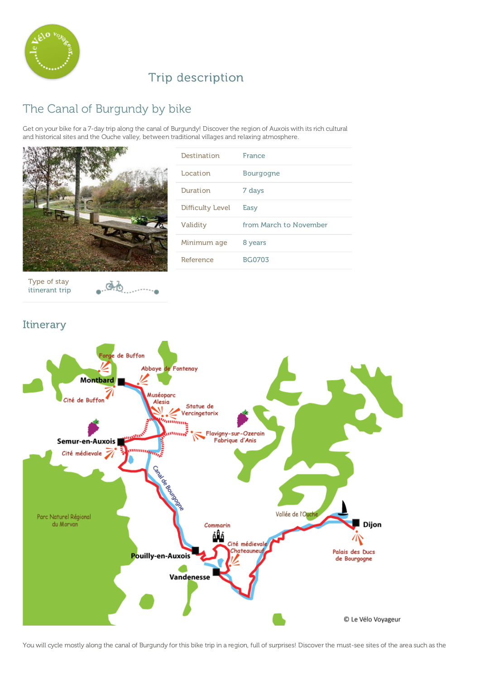

## Trip description

# The Canal of Burgundy by bike

Get on your bike for a 7-day trip along the canal of Burgundy! Discover the region of Auxois with its rich cultural and historical sites and the Ouche valley, between traditional villages and relaxing atmosphere.



| Destination      | France                 |
|------------------|------------------------|
| Location         | Bourgogne              |
| Duration         | 7 days                 |
| Difficulty Level | Easy                   |
| Validity         | from March to November |
| Minimum age      | 8 years                |
| Reference        | <b>BG0703</b>          |

Type of stay itinerant trip  $e^{i\Phi}$ 

## Itinerary



You will cycle mostly along the canal of Burgundy for this bike trip in a region, full of surprises! Discover the must-see sites of the area such as the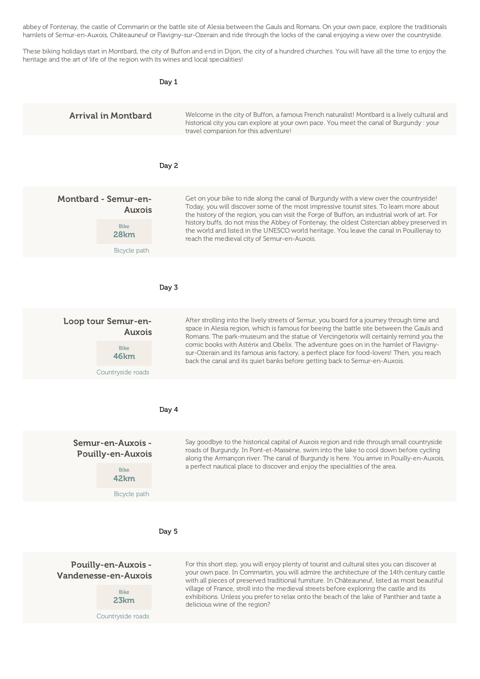$Y$  will cycle mostly along the canal of  $\mathcal{B}$  surprises! Discover the must-see sites of the area such as the area such as the area such as the area such as the area such as the area such as the area such as the area s abbey of Fontenay, the castle of Commarin or the battle site of Alesia between the Gauls and Romans. On your own pace, explore the traditionals hamlets of Semur-en-Auxois, Châteauneuf or Flavigny-sur-Ozerain and ride through the locks of the canal enjoying a view over the countryside.

These biking holidays start in Montbard, the city of Buffon and end in Dijon, the city of a hundred churches. You will have all the time to enjoy the heritage and the art of life of the region with its wines and local specialities!

|                                                                                      | Day 1 |                                                                                                                                                                                                                                                                                                                                                                                                                                                                                                                                                     |
|--------------------------------------------------------------------------------------|-------|-----------------------------------------------------------------------------------------------------------------------------------------------------------------------------------------------------------------------------------------------------------------------------------------------------------------------------------------------------------------------------------------------------------------------------------------------------------------------------------------------------------------------------------------------------|
| <b>Arrival in Montbard</b>                                                           |       | Welcome in the city of Buffon, a famous French naturalist! Montbard is a lively cultural and<br>historical city you can explore at your own pace. You meet the canal of Burgundy : your<br>travel companion for this adventure!                                                                                                                                                                                                                                                                                                                     |
|                                                                                      | Day 2 |                                                                                                                                                                                                                                                                                                                                                                                                                                                                                                                                                     |
| <b>Montbard - Semur-en-</b><br>Auxois<br><b>Bike</b><br>28km<br>Bicycle path         |       | Get on your bike to ride along the canal of Burgundy with a view over the countryside!<br>Today, you will discover some of the most impressive tourist sites. To learn more about<br>the history of the region, you can visit the Forge of Buffon, an industrial work of art. For<br>history buffs, do not miss the Abbey of Fontenay, the oldest Cistercian abbey preserved in<br>the world and listed in the UNESCO world heritage. You leave the canal in Pouillenay to<br>reach the medieval city of Semur-en-Auxois.                           |
|                                                                                      | Day 3 |                                                                                                                                                                                                                                                                                                                                                                                                                                                                                                                                                     |
| Loop tour Semur-en-<br>Auxois<br><b>Bike</b><br>46km<br>Countryside roads            |       | After strolling into the lively streets of Semur, you board for a journey through time and<br>space in Alesia region, which is famous for beeing the battle site between the Gauls and<br>Romans. The park-museum and the statue of Vercingetorix will certainly remind you the<br>comic books with Astérix and Obélix. The adventure goes on in the hamlet of Flavigny-<br>sur-Ozerain and its famous anis factory, a perfect place for food-lovers! Then, you reach<br>back the canal and its quiet banks before getting back to Semur-en-Auxois. |
|                                                                                      | Day 4 |                                                                                                                                                                                                                                                                                                                                                                                                                                                                                                                                                     |
| Semur-en-Auxois -<br><b>Pouilly-en-Auxois</b><br><b>Bike</b><br>42km<br>Bicycle path |       | Say goodbye to the historical capital of Auxois region and ride through small countryside<br>roads of Burgundy. In Pont-et-Massène, swim into the lake to cool down before cycling<br>along the Armançon river. The canal of Burgundy is here. You arrive in Pouilly-en-Auxois,<br>a perfect nautical place to discover and enjoy the specialities of the area.                                                                                                                                                                                     |
|                                                                                      | Day 5 |                                                                                                                                                                                                                                                                                                                                                                                                                                                                                                                                                     |
| Pouilly-en-Auxois -<br>Vandenesse-en-Auxois<br><b>Bike</b><br>23km                   |       | For this short step, you will enjoy plenty of tourist and cultural sites you can discover at<br>your own pace. In Commartin, you will admire the architecture of the 14th century castle<br>with all pieces of preserved traditional furniture. In Châteauneuf, listed as most beautiful<br>village of France, stroll into the medieval streets before exploring the castle and its<br>exhibitions. Unless you prefer to relax onto the beach of the lake of Panthier and taste a<br>delicious wine of the region?                                  |

Countryside roads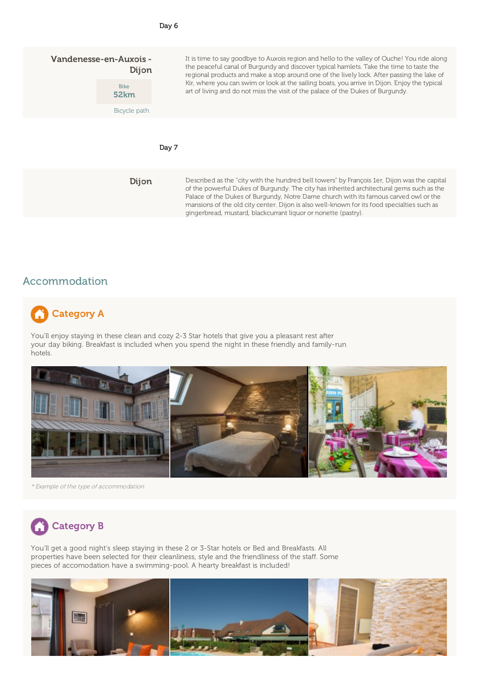| Vandenesse-en-Auxois -<br>Dijon |                     | It is time to say goodbye to Auxois region and hello to the valley of Ouche! You ride along<br>the peaceful canal of Burgundy and discover typical hamlets. Take the time to taste the<br>regional products and make a stop around one of the lively lock. After passing the lake of                                                                                                                                                            |
|---------------------------------|---------------------|-------------------------------------------------------------------------------------------------------------------------------------------------------------------------------------------------------------------------------------------------------------------------------------------------------------------------------------------------------------------------------------------------------------------------------------------------|
|                                 | <b>Bike</b><br>52km | Kir, where you can swim or look at the sailing boats, you arrive in Dijon. Enjoy the typical<br>art of living and do not miss the visit of the palace of the Dukes of Burgundy.                                                                                                                                                                                                                                                                 |
|                                 | Bicycle path        |                                                                                                                                                                                                                                                                                                                                                                                                                                                 |
|                                 |                     | Day 7                                                                                                                                                                                                                                                                                                                                                                                                                                           |
|                                 | Dijon               | Described as the "city with the hundred bell towers" by François 1er, Dijon was the capital<br>of the powerful Dukes of Burgundy. The city has inherited architectural gems such as the<br>Palace of the Dukes of Burgundy, Notre Dame church with its famous carved owl or the<br>mansions of the old city center. Dijon is also well-known for its food specialties such as<br>gingerbread, mustard, blackcurrant liquor or nonette (pastry). |

## Accommodation

# Category A

You'll enjoy staying in these clean and cozy 2-3 Star hotels that give you a pleasant rest after your day biking. Breakfast is included when you spend the night in these friendly and family-run hotels.



\* Example of the type of accommodation



You'll get a good night's sleep staying in these 2 or 3-Star hotels or Bed and Breakfasts. All properties have been selected for their cleanliness, style and the friendliness of the staff. Some pieces of accomodation have a swimming-pool. A hearty breakfast is included!

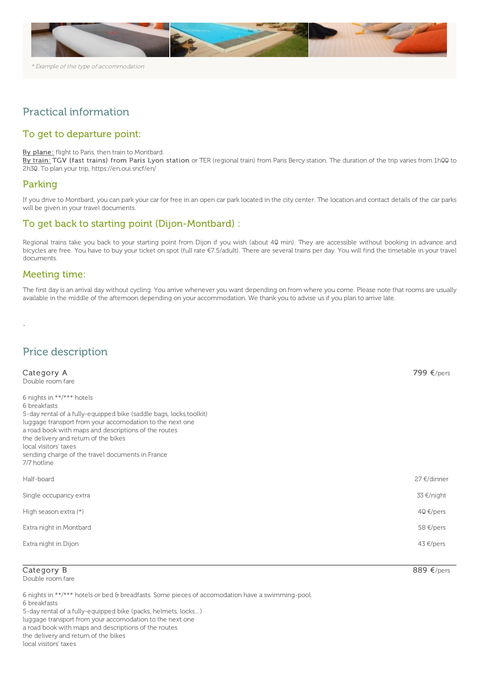

## Practical information

### To get to departure point:

#### By plane: flight to Paris, then train to Montbard.

By train: TGV (fast trains) from Paris Lyon station or TER (regional train) from Paris Bercy station. The duration of the trip varies from 1h00 to 2h30. To plan your trip, <https://en.oui.sncf/en/>

#### Parking

If you drive to Montbard, you can park your car for free in an open car park located in the city center. The location and contact details of the car parks will be given in your travel documents.

#### To get back to starting point (Dijon-Montbard) :

Regional trains take you back to your starting point from Dijon if you wish (about 40 min). They are accessible without booking in advance and bicycles are free. You have to buy your ticket on spot (full rate €7.5/adult). There are several trains per day. You will find the timetable in your travel documents.

#### Meeting time:

The first day is an arrival day without cycling. You arrive whenever you want depending on from where you come. Please note that rooms are usually available in the middle of the afternoon depending on your accommodation. We thank you to advise us if you plan to arrive late.

-

## Price description

| Category A<br>Double room fare                                                                                                                                                                                                                                                                                                                                             | 799 $\epsilon$ /pers      |
|----------------------------------------------------------------------------------------------------------------------------------------------------------------------------------------------------------------------------------------------------------------------------------------------------------------------------------------------------------------------------|---------------------------|
| 6 nights in $**/***$ hotels<br>6 breakfasts<br>5-day rental of a fully-equipped bike (saddle bags, locks, toolkit)<br>luggage transport from your accomodation to the next one<br>a road book with maps and descriptions of the routes<br>the delivery and return of the bikes<br>local visitors' taxes<br>sending charge of the travel documents in France<br>7/7 hotline |                           |
| Half-board                                                                                                                                                                                                                                                                                                                                                                 | $27 \text{ } \in$ /dinner |
| Single occupancy extra                                                                                                                                                                                                                                                                                                                                                     | $33 \notin /$ night       |
| High season extra (*)                                                                                                                                                                                                                                                                                                                                                      | 40 €/pers                 |
| Extra night in Montbard                                                                                                                                                                                                                                                                                                                                                    | $58 \text{ E/pers}$       |
| Extra night in Dijon                                                                                                                                                                                                                                                                                                                                                       | $43 \in$ /pers            |

#### Category B

Double room fare

6 nights in \*\*/\*\*\* hotels or bed & breadfasts. Some pieces of accomodation have a swimming-pool. 6 breakfasts

5-day rental of a fully-equipped bike (packs, helmets, locks…)

luggage transport from your accomodation to the next one a road book with maps and descriptions of the routes

the delivery and return of the bikes

local visitors' taxes